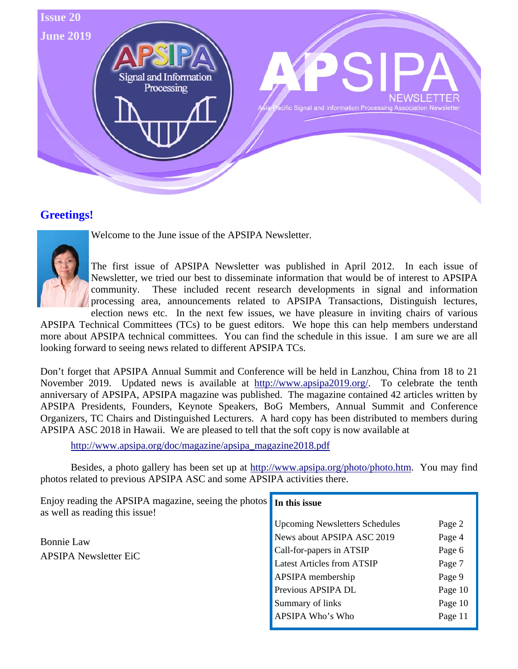

### **Greetings!**



Welcome to the June issue of the APSIPA Newsletter.

The first issue of APSIPA Newsletter was published in April 2012. In each issue of Newsletter, we tried our best to disseminate information that would be of interest to APSIPA community. These included recent research developments in signal and information processing area, announcements related to APSIPA Transactions, Distinguish lectures, election news etc. In the next few issues, we have pleasure in inviting chairs of various

APSIPA Technical Committees (TCs) to be guest editors. We hope this can help members understand more about APSIPA technical committees. You can find the schedule in this issue. I am sure we are all looking forward to seeing news related to different APSIPA TCs.

Don't forget that APSIPA Annual Summit and Conference will be held in Lanzhou, China from 18 to 21 November 2019. Updated news is available at http://www.apsipa2019.org/. To celebrate the tenth anniversary of APSIPA, APSIPA magazine was published. The magazine contained 42 articles written by APSIPA Presidents, Founders, Keynote Speakers, BoG Members, Annual Summit and Conference Organizers, TC Chairs and Distinguished Lecturers. A hard copy has been distributed to members during APSIPA ASC 2018 in Hawaii. We are pleased to tell that the soft copy is now available at

http://www.apsipa.org/doc/magazine/apsipa\_magazine2018.pdf

 Besides, a photo gallery has been set up at http://www.apsipa.org/photo/photo.htm. You may find photos related to previous APSIPA ASC and some APSIPA activities there.

| Enjoy reading the APSIPA magazine, seeing the photos In this issue<br>as well as reading this issue! |                                       |         |
|------------------------------------------------------------------------------------------------------|---------------------------------------|---------|
| <b>Bonnie Law</b><br><b>APSIPA Newsletter EiC</b>                                                    | <b>Upcoming Newsletters Schedules</b> | Page 2  |
|                                                                                                      | News about APSIPA ASC 2019            | Page 4  |
|                                                                                                      | Call-for-papers in ATSIP              | Page 6  |
|                                                                                                      | <b>Latest Articles from ATSIP</b>     | Page 7  |
|                                                                                                      | APSIPA membership                     | Page 9  |
|                                                                                                      | Previous APSIPA DL                    | Page 10 |
|                                                                                                      | Summary of links                      | Page 10 |
|                                                                                                      | APSIPA Who's Who                      | Page 11 |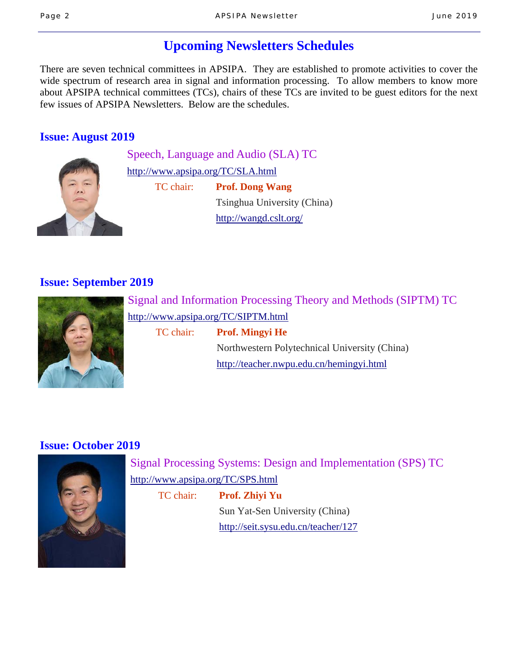## **Upcoming Newsletters Schedules**

There are seven technical committees in APSIPA. They are established to promote activities to cover the wide spectrum of research area in signal and information processing. To allow members to know more about APSIPA technical committees (TCs), chairs of these TCs are invited to be guest editors for the next few issues of APSIPA Newsletters. Below are the schedules.

#### **Issue: August 2019**



Speech, Language and Audio (SLA) TC http://www.apsipa.org/TC/SLA.html TC chair: **Prof. Dong Wang** 

> Tsinghua University (China) http://wangd.cslt.org/

### **Issue: September 2019**



Signal and Information Processing Theory and Methods (SIPTM) TC http://www.apsipa.org/TC/SIPTM.html

TC chair: **Prof. Mingyi He**

 Northwestern Polytechnical University (China) http://teacher.nwpu.edu.cn/hemingyi.html

### **Issue: October 2019**



Signal Processing Systems: Design and Implementation (SPS) TC http://www.apsipa.org/TC/SPS.html

TC chair: **Prof. Zhiyi Yu**

 Sun Yat-Sen University (China) http://seit.sysu.edu.cn/teacher/127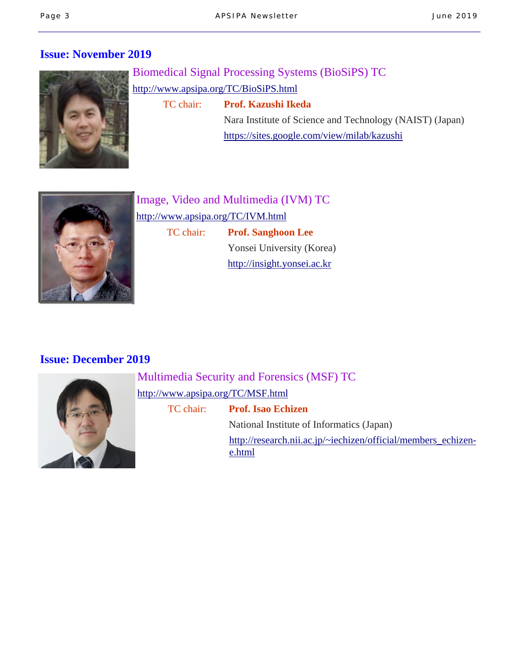### **Issue: November 2019**



Biomedical Signal Processing Systems (BioSiPS) TC http://www.apsipa.org/TC/BioSiPS.html TC chair: **Prof. Kazushi Ikeda** Nara Institute of Science and Technology (NAIST) (Japan) https://sites.google.com/view/milab/kazushi



Image, Video and Multimedia (IVM) TC http://www.apsipa.org/TC/IVM.html TC chair: **Prof. Sanghoon Lee** Yonsei University (Korea) http://insight.yonsei.ac.kr

#### **Issue: December 2019**



Multimedia Security and Forensics (MSF) TC http://www.apsipa.org/TC/MSF.html TC chair: **Prof. Isao Echizen**

 National Institute of Informatics (Japan) http://research.nii.ac.jp/~iechizen/official/members\_echizene.html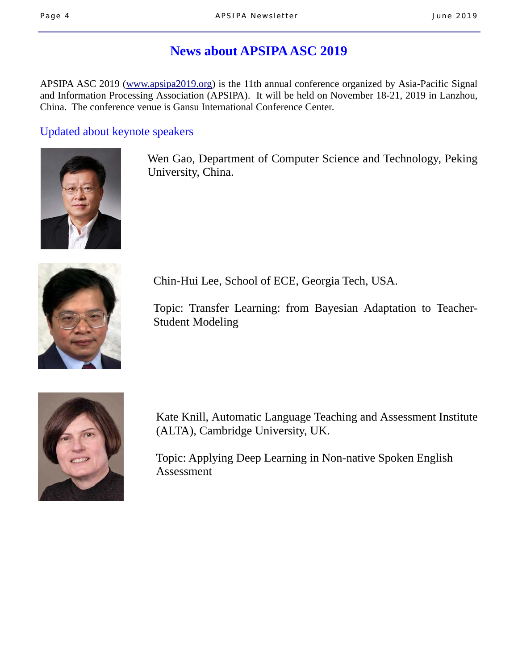## **News about APSIPA ASC 2019**

APSIPA ASC 2019 (www.apsipa2019.org) is the 11th annual conference organized by Asia-Pacific Signal and Information Processing Association (APSIPA). It will be held on November 18-21, 2019 in Lanzhou, China. The conference venue is Gansu International Conference Center.

#### Updated about keynote speakers



 Wen Gao, Department of Computer Science and Technology, Peking University, China.



Chin-Hui Lee, School of ECE, Georgia Tech, USA.

 Topic: Transfer Learning: from Bayesian Adaptation to Teacher- Student Modeling



 Kate Knill, Automatic Language Teaching and Assessment Institute (ALTA), Cambridge University, UK.

 Topic: Applying Deep Learning in Non-native Spoken English Assessment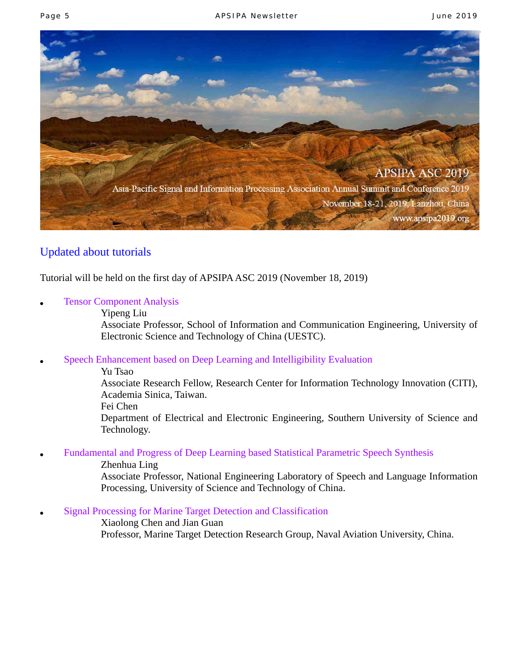

#### Updated about tutorials

Tutorial will be held on the first day of APSIPA ASC 2019 (November 18, 2019)

- **Tensor Component Analysis** 
	- Yipeng Liu

 Associate Professor, School of Information and Communication Engineering, University of Electronic Science and Technology of China (UESTC).

- Speech Enhancement based on Deep Learning and Intelligibility Evaluation
	- Yu Tsao

 Associate Research Fellow, Research Center for Information Technology Innovation (CITI), Academia Sinica, Taiwan.

Fei Chen

 Department of Electrical and Electronic Engineering, Southern University of Science and Technology.

Fundamental and Progress of Deep Learning based Statistical Parametric Speech Synthesis

Zhenhua Ling

 Associate Professor, National Engineering Laboratory of Speech and Language Information Processing, University of Science and Technology of China.

**Signal Processing for Marine Target Detection and Classification** 

 Xiaolong Chen and Jian Guan Professor, Marine Target Detection Research Group, Naval Aviation University, China.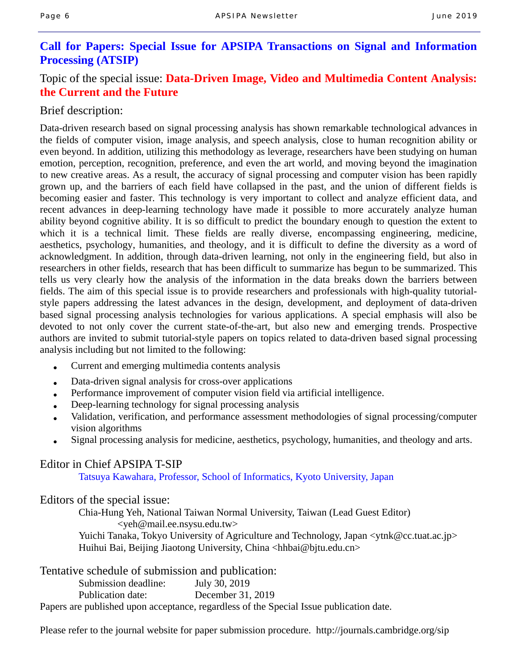#### **Call for Papers: Special Issue for APSIPA Transactions on Signal and Information Processing (ATSIP)**

### Topic of the special issue: **Data-Driven Image, Video and Multimedia Content Analysis: the Current and the Future**

#### Brief description:

Data-driven research based on signal processing analysis has shown remarkable technological advances in the fields of computer vision, image analysis, and speech analysis, close to human recognition ability or even beyond. In addition, utilizing this methodology as leverage, researchers have been studying on human emotion, perception, recognition, preference, and even the art world, and moving beyond the imagination to new creative areas. As a result, the accuracy of signal processing and computer vision has been rapidly grown up, and the barriers of each field have collapsed in the past, and the union of different fields is becoming easier and faster. This technology is very important to collect and analyze efficient data, and recent advances in deep-learning technology have made it possible to more accurately analyze human ability beyond cognitive ability. It is so difficult to predict the boundary enough to question the extent to which it is a technical limit. These fields are really diverse, encompassing engineering, medicine, aesthetics, psychology, humanities, and theology, and it is difficult to define the diversity as a word of acknowledgment. In addition, through data-driven learning, not only in the engineering field, but also in researchers in other fields, research that has been difficult to summarize has begun to be summarized. This tells us very clearly how the analysis of the information in the data breaks down the barriers between fields. The aim of this special issue is to provide researchers and professionals with high-quality tutorialstyle papers addressing the latest advances in the design, development, and deployment of data-driven based signal processing analysis technologies for various applications. A special emphasis will also be devoted to not only cover the current state-of-the-art, but also new and emerging trends. Prospective authors are invited to submit tutorial-style papers on topics related to data-driven based signal processing analysis including but not limited to the following:

- Current and emerging multimedia contents analysis
- Data-driven signal analysis for cross-over applications
- Performance improvement of computer vision field via artificial intelligence.
- Deep-learning technology for signal processing analysis
- Validation, verification, and performance assessment methodologies of signal processing/computer vision algorithms
- Signal processing analysis for medicine, aesthetics, psychology, humanities, and theology and arts.

#### Editor in Chief APSIPA T-SIP

Tatsuya Kawahara, Professor, School of Informatics, Kyoto University, Japan

Editors of the special issue:

 Chia-Hung Yeh, National Taiwan Normal University, Taiwan (Lead Guest Editor) <yeh@mail.ee.nsysu.edu.tw> Yuichi Tanaka, Tokyo University of Agriculture and Technology, Japan <ytnk@cc.tuat.ac.jp> Huihui Bai, Beijing Jiaotong University, China <hhbai@bjtu.edu.cn>

Tentative schedule of submission and publication:

Submission deadline: July 30, 2019

Publication date: December 31, 2019

Papers are published upon acceptance, regardless of the Special Issue publication date.

Please refer to the journal website for paper submission procedure. http://journals.cambridge.org/sip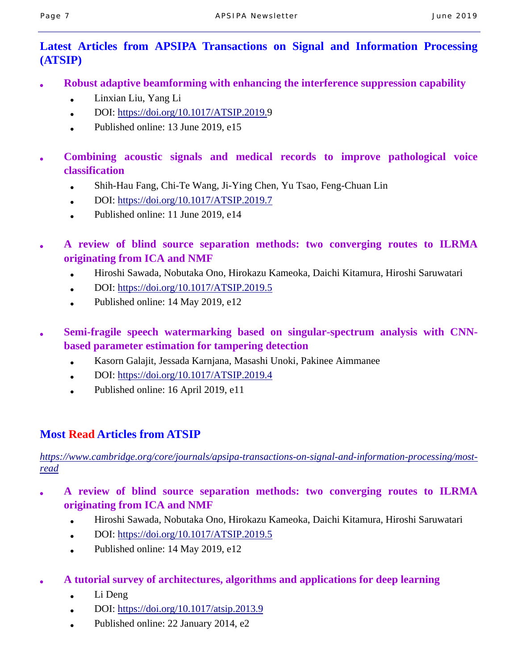### **Latest Articles from APSIPA Transactions on Signal and Information Processing (ATSIP)**

- **Robust adaptive beamforming with enhancing the interference suppression capability** 
	- Linxian Liu, Yang Li
	- $\bullet$  DOI: https://doi.org/10.1017/ATSIP.2019.9
	- Published online: 13 June 2019,  $e15$
- **Combining acoustic signals and medical records to improve pathological voice classification** 
	- Shih-Hau Fang, Chi-Te Wang, Ji-Ying Chen, Yu Tsao, Feng-Chuan Lin
	- $\bullet$  DOI: https://doi.org/10.1017/ATSIP.2019.7
	- Published online:  $11$  June 2019, e14
- **A review of blind source separation methods: two converging routes to ILRMA originating from ICA and NMF** 
	- Hiroshi Sawada, Nobutaka Ono, Hirokazu Kameoka, Daichi Kitamura, Hiroshi Saruwatari
	- DOI: https://doi.org/10.1017/ATSIP.2019.5
	- Published online:  $14$  May 2019, e12
- Semi-fragile speech watermarking based on singular-spectrum analysis with CNN**based parameter estimation for tampering detection** 
	- Kasorn Galajit, Jessada Karnjana, Masashi Unoki, Pakinee Aimmanee
	- $\bullet$  DOI: https://doi.org/10.1017/ATSIP.2019.4
	- Published online: 16 April 2019, e11

### **Most Read Articles from ATSIP**

*https://www.cambridge.org/core/journals/apsipa-transactions-on-signal-and-information-processing/mostread*

- **A review of blind source separation methods: two converging routes to ILRMA originating from ICA and NMF** 
	- Hiroshi Sawada, Nobutaka Ono, Hirokazu Kameoka, Daichi Kitamura, Hiroshi Saruwatari
	- $\bullet$  DOI: https://doi.org/10.1017/ATSIP.2019.5
	- Published online:  $14$  May 2019, e12
- **A tutorial survey of architectures, algorithms and applications for deep learning** 
	- $\bullet$  Li Deng
	- DOI: https://doi.org/10.1017/atsip.2013.9
	- Published online: 22 January 2014, e2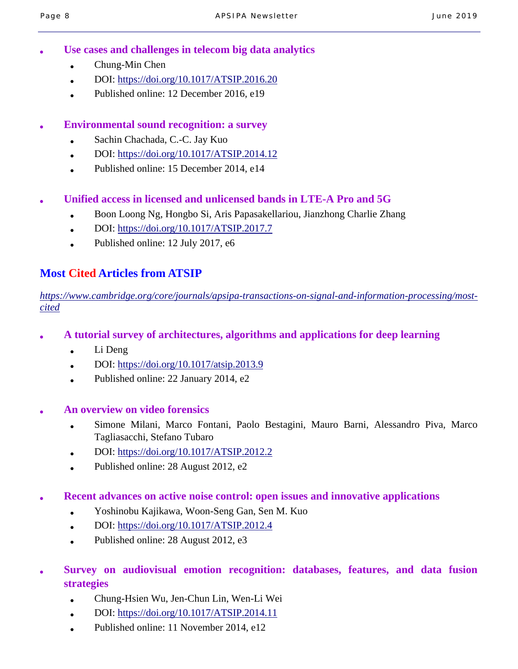- Use cases and challenges in telecom big data analytics
	- Chung-Min Chen
	- DOI: https://doi.org/10.1017/ATSIP.2016.20
	- Published online:  $12$  December 2016, e19

#### ● **Environmental sound recognition: a survey**

- Sachin Chachada, C.-C. Jay Kuo
- DOI: https://doi.org/10.1017/ATSIP.2014.12
- Published online: 15 December 2014, e14

#### ● **Unified access in licensed and unlicensed bands in LTE-A Pro and 5G**

- Boon Loong Ng, Hongbo Si, Aris Papasakellariou, Jianzhong Charlie Zhang
- $\bullet$  DOI: https://doi.org/10.1017/ATSIP.2017.7
- Published online: 12 July 2017, e6

### **Most Cited Articles from ATSIP**

*https://www.cambridge.org/core/journals/apsipa-transactions-on-signal-and-information-processing/mostcited*

- **A tutorial survey of architectures, algorithms and applications for deep learning** 
	- Li Deng
	- DOI: https://doi.org/10.1017/atsip.2013.9
	- Published online:  $22$  January 2014, e2
- **An overview on video forensics** 
	- Simone Milani, Marco Fontani, Paolo Bestagini, Mauro Barni, Alessandro Piva, Marco Tagliasacchi, Stefano Tubaro
	- DOI: https://doi.org/10.1017/ATSIP.2012.2
	- Published online:  $28$  August  $2012$ , e2
- **Recent advances on active noise control: open issues and innovative applications** 
	- Yoshinobu Kajikawa, Woon-Seng Gan, Sen M. Kuo
	- $\bullet$  DOI: https://doi.org/10.1017/ATSIP.2012.4
	- Published online: 28 August 2012, e3
- Survey on audiovisual emotion recognition: databases, features, and data fusion **strategies** 
	- Chung-Hsien Wu, Jen-Chun Lin, Wen-Li Wei
	- DOI: https://doi.org/10.1017/ATSIP.2014.11
	- Published online: 11 November 2014, e12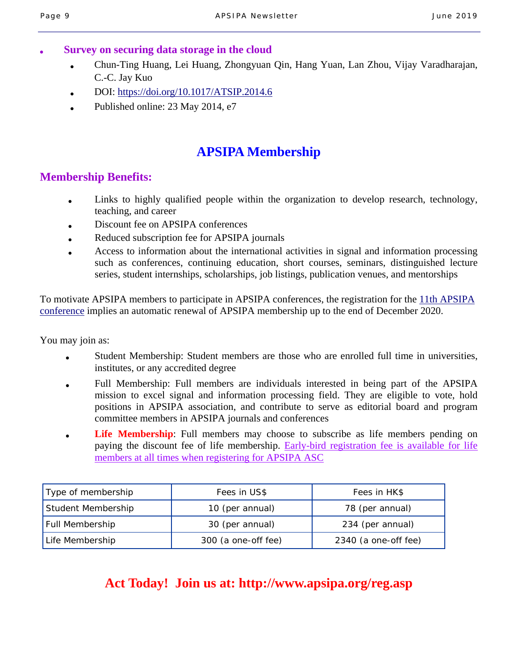#### **Survey on securing data storage in the cloud**

- Chun-Ting Huang, Lei Huang, Zhongyuan Qin, Hang Yuan, Lan Zhou, Vijay Varadharajan, C.-C. Jay Kuo
- DOI: https://doi.org/10.1017/ATSIP.2014.6
- Published online: 23 May 2014, e7

## **APSIPA Membership**

#### **Membership Benefits:**

- Links to highly qualified people within the organization to develop research, technology, teaching, and career
- Discount fee on APSIPA conferences
- Reduced subscription fee for APSIPA journals
- Access to information about the international activities in signal and information processing such as conferences, continuing education, short courses, seminars, distinguished lecture series, student internships, scholarships, job listings, publication venues, and mentorships

To motivate APSIPA members to participate in APSIPA conferences, the registration for the 11th APSIPA conference implies an automatic renewal of APSIPA membership up to the end of December 2020.

You may join as:

- Student Membership: Student members are those who are enrolled full time in universities, institutes, or any accredited degree
- Full Membership: Full members are individuals interested in being part of the APSIPA mission to excel signal and information processing field. They are eligible to vote, hold positions in APSIPA association, and contribute to serve as editorial board and program committee members in APSIPA journals and conferences
- **Life Membership**: Full members may choose to subscribe as life members pending on paying the discount fee of life membership. Early-bird registration fee is available for life members at all times when registering for APSIPA ASC

| Type of membership     | Fees in US\$        | Fees in HK\$         |
|------------------------|---------------------|----------------------|
| Student Membership     | 10 (per annual)     | 78 (per annual)      |
| <b>Full Membership</b> | 30 (per annual)     | 234 (per annual)     |
| Life Membership        | 300 (a one-off fee) | 2340 (a one-off fee) |

## **Act Today! Join us at: http://www.apsipa.org/reg.asp**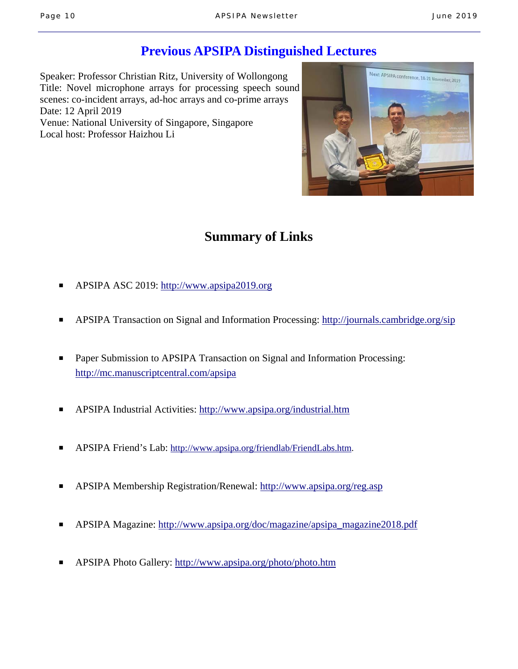## **Previous APSIPA Distinguished Lectures**

Speaker: Professor Christian Ritz, University of Wollongong Title: Novel microphone arrays for processing speech sound scenes: co-incident arrays, ad-hoc arrays and co-prime arrays Date: 12 April 2019 Venue: National University of Singapore, Singapore Local host: Professor Haizhou Li



# **Summary of Links**

- APSIPA ASC 2019: http://www.apsipa2019.org
- APSIPA Transaction on Signal and Information Processing: http://journals.cambridge.org/sip
- Paper Submission to APSIPA Transaction on Signal and Information Processing: http://mc.manuscriptcentral.com/apsipa
- APSIPA Industrial Activities: http://www.apsipa.org/industrial.htm
- APSIPA Friend's Lab: http://www.apsipa.org/friendlab/FriendLabs.htm.
- APSIPA Membership Registration/Renewal: http://www.apsipa.org/reg.asp
- APSIPA Magazine: http://www.apsipa.org/doc/magazine/apsipa\_magazine2018.pdf
- APSIPA Photo Gallery: http://www.apsipa.org/photo/photo.htm